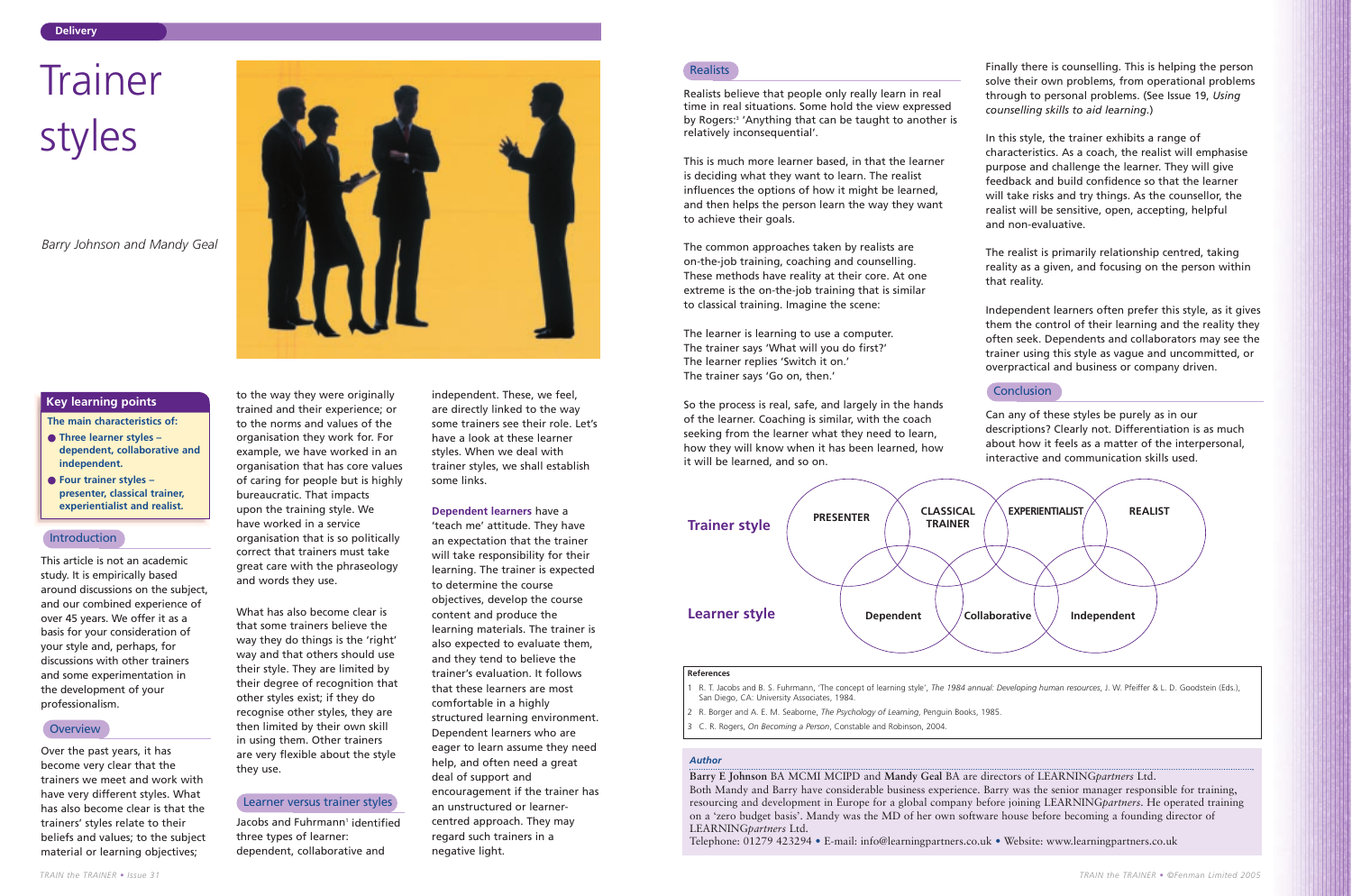This article is not an academic study. It is empirically based around discussions on the subject, and our combined experience of over 45 years. We offer it as a basis for your consideration of your style and, perhaps, for discussions with other trainers and some experimentation in the development of your professionalism.

## **Overview**

Over the past years, it has become very clear that the trainers we meet and work with have very different styles. What has also become clear is that the trainers' styles relate to their beliefs and values; to the subject material or learning objectives;

to the way they were originally

Jacobs and Fuhrmann<sup>1</sup> identified three types of learner: dependent, collaborative and

trained and their experience; or to the norms and values of the organisation they work for. For example, we have worked in an organisation that has core values of caring for people but is highly bureaucratic. That impacts upon the training style. We have worked in a service organisation that is so politically correct that trainers must take great care with the phraseology and words they use.

What has also become clear is that some trainers believe the way they do things is the 'right' way and that others should use their style. They are limited by their degree of recognition that other styles exist; if they do recognise other styles, they are then limited by their own skill in using them. Other trainers are very flexible about the style they use.

independent. These, we feel, are directly linked to the way some trainers see their role. Let's have a look at these learner styles. When we deal with trainer styles, we shall establish some links.

#### **Dependent learners** have a

'teach me' attitude. They have an expectation that the trainer will take responsibility for their learning. The trainer is expected to determine the course objectives, develop the course content and produce the learning materials. The trainer is also expected to evaluate them, and they tend to believe the trainer's evaluation. It follows that these learners are most comfortable in a highly structured learning environment. Dependent learners who are eager to learn assume they need help, and often need a great deal of support and encouragement if the trainer has an unstructured or learnercentred approach. They may regard such trainers in a negative light.

## **Realists**

**The main characteristics of:**

- **Three learner styles – dependent, collaborative and independent.**
- **Four trainer styles – presenter, classical trainer, experientialist and realist.**

#### **Introduction**

#### **Key learning points**

#### *Author*

# **Trainer** styles

**Barry E Johnson** BA MCMI MCIPD and **Mandy Geal** BA are directors of LEARNING*partners* Ltd. Both Mandy and Barry have considerable business experience. Barry was the senior manager responsible for training, resourcing and development in Europe for a global company before joining LEARNING*partners*. He operated training on a 'zero budget basis'. Mandy was the MD of her own software house before becoming a founding director of LEARNING*partners* Ltd.

Telephone: 01279 423294 • E-mail: info@learningpartners.co.uk • Website: www.learningpartners.co.uk

Realists believe that people only really learn in real time in real situations. Some hold the view expressed by Rogers:<sup>3</sup> 'Anything that can be taught to another is relatively inconsequential'.

This is much more learner based, in that the learner is deciding what they want to learn. The realist influences the options of how it might be learned, and then helps the person learn the way they want to achieve their goals.

The common approaches taken by realists are on-the-job training, coaching and counselling. These methods have reality at their core. At one extreme is the on-the-job training that is similar to classical training. Imagine the scene:

The learner is learning to use a computer. The trainer says 'What will you do first?' The learner replies 'Switch it on.' The trainer says 'Go on, then.'

So the process is real, safe, and largely in the hands of the learner. Coaching is similar, with the coach seeking from the learner what they need to learn, how they will know when it has been learned, how it will be learned, and so on.

Finally there is counselling. This is helping the person solve their own problems, from operational problems through to personal problems. (See Issue 19, *Using counselling skills to aid learning.*)

In this style, the trainer exhibits a range of characteristics. As a coach, the realist will emphasise purpose and challenge the learner. They will give feedback and build confidence so that the learner will take risks and try things. As the counsellor, the realist will be sensitive, open, accepting, helpful and non-evaluative.

The realist is primarily relationship centred, taking reality as a given, and focusing on the person within that reality.

#### **Conclusion**

Independent learners often prefer this style, as it gives them the control of their learning and the reality they often seek. Dependents and collaborators may see the trainer using this style as vague and uncommitted, or overpractical and business or company driven.

Can any of these styles be purely as in our descriptions? Clearly not. Differentiation is as much about how it feels as a matter of the interpersonal, interactive and communication skills used.

*Barry Johnson and Mandy Geal*

#### Learner versus trainer styles

#### **References**

1 R. T. Jacobs and B. S. Fuhrmann, 'The concept of learning style', *The 1984 annual: Developing human resources*, J. W. Pfeiffer & L. D. Goodstein (Eds.), San Diego, CA: University Associates, 1984.

2 R. Borger and A. E. M. Seaborne, *The Psychology of Learning*, Penguin Books, 1985.

3 C. R. Rogers, *On Becoming a Person*, Constable and Robinson, 2004.